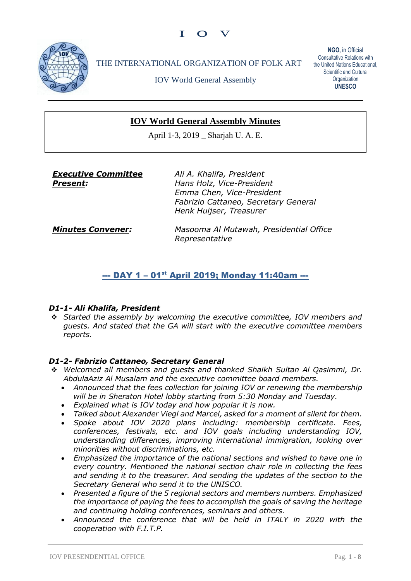

THE INTERNATIONAL ORGANIZATION OF FOLK ART

IOV World General Assembly

**NGO,** in Official Consultative Relations with the United Nations Educational, Scientific and Cultural **Organization UNESCO**

# **IOV World General Assembly Minutes**

April 1-3, 2019 \_ Sharjah U. A. E.

*Executive Committee Present:*

*Ali A. Khalifa, President Hans Holz, Vice-President Emma Chen, Vice-President Fabrizio Cattaneo, Secretary General Henk Huijser, Treasurer*

*Minutes Convener:*

*Masooma Al Mutawah, Presidential Office Representative*

# --- DAY 1 - 01<sup>st</sup> April 2019; Monday 11:40am ---

### *D1-1- Ali Khalifa, President*

❖ *Started the assembly by welcoming the executive committee, IOV members and guests. And stated that the GA will start with the executive committee members reports.*

### *D1-2- Fabrizio Cattaneo, Secretary General*

- ❖ *Welcomed all members and guests and thanked Shaikh Sultan Al Qasimmi, Dr. AbdulaAziz Al Musalam and the executive committee board members.*
	- *Announced that the fees collection for joining IOV or renewing the membership will be in Sheraton Hotel lobby starting from 5:30 Monday and Tuesday.*
	- *Explained what is IOV today and how popular it is now.*
	- *Talked about Alexander Viegl and Marcel, asked for a moment of silent for them.*
	- *Spoke about IOV 2020 plans including: membership certificate. Fees, conferences, festivals, etc. and IOV goals including understanding IOV, understanding differences, improving international immigration, looking over minorities without discriminations, etc.*
	- *Emphasized the importance of the national sections and wished to have one in every country. Mentioned the national section chair role in collecting the fees and sending it to the treasurer. And sending the updates of the section to the Secretary General who send it to the UNISCO.*
	- *Presented a figure of the 5 regional sectors and members numbers. Emphasized the importance of paying the fees to accomplish the goals of saving the heritage and continuing holding conferences, seminars and others.*
	- *Announced the conference that will be held in ITALY in 2020 with the cooperation with F.I.T.P.*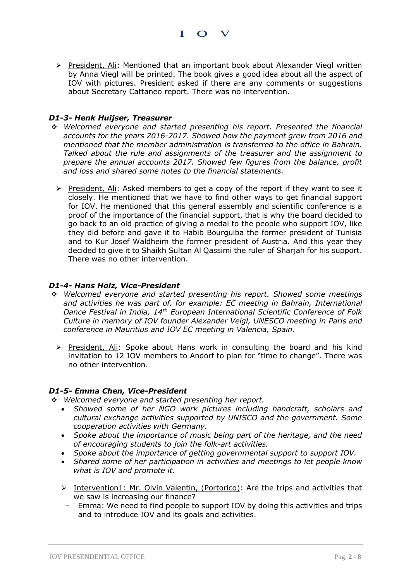➢ President, Ali: Mentioned that an important book about Alexander Viegl written by Anna Viegl will be printed. The book gives a good idea about all the aspect of IOV with pictures. President asked if there are any comments or suggestions about Secretary Cattaneo report. There was no intervention.

I O V

#### *D1-3- Henk Huijser, Treasurer*

- ❖ *Welcomed everyone and started presenting his report. Presented the financial accounts for the years 2016-2017. Showed how the payment grew from 2016 and mentioned that the member administration is transferred to the office in Bahrain. Talked about the rule and assignments of the treasurer and the assignment to prepare the annual accounts 2017. Showed few figures from the balance, profit and loss and shared some notes to the financial statements.* 
	- ➢ President, Ali: Asked members to get a copy of the report if they want to see it closely. He mentioned that we have to find other ways to get financial support for IOV. He mentioned that this general assembly and scientific conference is a proof of the importance of the financial support, that is why the board decided to go back to an old practice of giving a medal to the people who support IOV, like they did before and gave it to Habib Bourguiba the former president of Tunisia and to Kur Josef Waldheim the former president of Austria. And this year they decided to give it to Shaikh Sultan Al Qassimi the ruler of Sharjah for his support. There was no other intervention.

#### *D1-4- Hans Holz, Vice-President*

- ❖ *Welcomed everyone and started presenting his report. Showed some meetings and activities he was part of, for example: EC meeting in Bahrain, International Dance Festival in India, 14th European International Scientific Conference of Folk Culture in memory of IOV founder Alexander Veigl, UNESCO meeting in Paris and conference in Mauritius and IOV EC meeting in Valencia, Spain.* 
	- ➢ President, Ali: Spoke about Hans work in consulting the board and his kind invitation to 12 IOV members to Andorf to plan for "time to change". There was no other intervention.

#### *D1-5- Emma Chen, Vice-President*

❖ *Welcomed everyone and started presenting her report.* 

- *Showed some of her NGO work pictures including handcraft, scholars and cultural exchange activities supported by UNISCO and the government. Some cooperation activities with Germany.*
- *Spoke about the importance of music being part of the heritage, and the need of encouraging students to join the folk-art activities.*
- *Spoke about the importance of getting governmental support to support IOV.*
- *Shared some of her participation in activities and meetings to let people know what is IOV and promote it.*
- ➢ Intervention1: Mr. Olvin Valentin, (Portorico): Are the trips and activities that we saw is increasing our finance?
- *-* Emma: We need to find people to support IOV by doing this activities and trips and to introduce IOV and its goals and activities.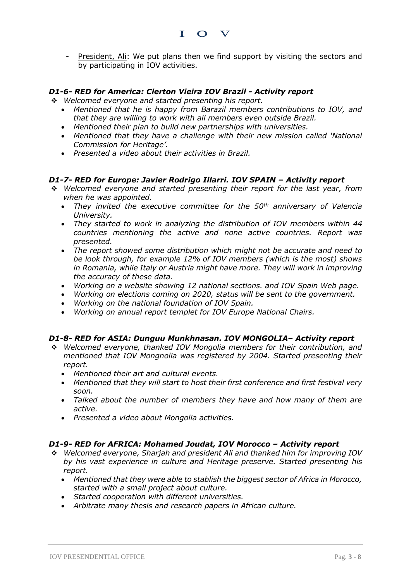

I O V

### *D1-6- RED for America: Clerton Vieira IOV Brazil - Activity report*

- ❖ *Welcomed everyone and started presenting his report.* 
	- *Mentioned that he is happy from Barazil members contributions to IOV, and that they are willing to work with all members even outside Brazil.*
	- *Mentioned their plan to build new partnerships with universities.*
	- *Mentioned that they have a challenge with their new mission called 'National Commission for Heritage'.*
	- *Presented a video about their activities in Brazil.*

### *D1-7- RED for Europe: Javier Rodrigo Illarri. IOV SPAIN – Activity report*

- ❖ *Welcomed everyone and started presenting their report for the last year, from when he was appointed.*
	- *They invited the executive committee for the 50th anniversary of Valencia University.*
	- *They started to work in analyzing the distribution of IOV members within 44 countries mentioning the active and none active countries. Report was presented.*
	- *The report showed some distribution which might not be accurate and need to be look through, for example 12% of IOV members (which is the most) shows*  in Romania, while Italy or Austria might have more. They will work in improving *the accuracy of these data.*
	- *Working on a website showing 12 national sections. and IOV Spain Web page.*
	- *Working on elections coming on 2020, status will be sent to the government.*
	- *Working on the national foundation of IOV Spain.*
	- *Working on annual report templet for IOV Europe National Chairs.*

### *D1-8- RED for ASIA: Dunguu Munkhnasan. IOV MONGOLIA– Activity report*

- ❖ *Welcomed everyone, thanked IOV Mongolia members for their contribution, and mentioned that IOV Mongnolia was registered by 2004. Started presenting their report.* 
	- *Mentioned their art and cultural events.*
	- *Mentioned that they will start to host their first conference and first festival very soon.*
	- *Talked about the number of members they have and how many of them are active.*
	- *Presented a video about Mongolia activities.*

### *D1-9- RED for AFRICA: Mohamed Joudat, IOV Morocco – Activity report*

- ❖ *Welcomed everyone, Sharjah and president Ali and thanked him for improving IOV by his vast experience in culture and Heritage preserve. Started presenting his report.*
	- *Mentioned that they were able to stablish the biggest sector of Africa in Morocco, started with a small project about culture.*
	- *Started cooperation with different universities.*
	- *Arbitrate many thesis and research papers in African culture.*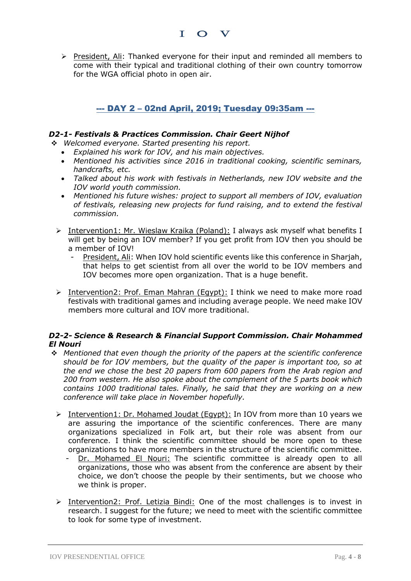

I O V

# --- DAY 2 – 02nd April, 2019; Tuesday 09:35am ---

## *D2-1- Festivals & Practices Commission. Chair Geert Nijhof*

- ❖ *Welcomed everyone. Started presenting his report.*
	- *Explained his work for IOV, and his main objectives.*
	- *Mentioned his activities since 2016 in traditional cooking, scientific seminars, handcrafts, etc.*
	- *Talked about his work with festivals in Netherlands, new IOV website and the IOV world youth commission.*
	- *Mentioned his future wishes: project to support all members of IOV, evaluation of festivals, releasing new projects for fund raising, and to extend the festival commission.*
	- ➢ Intervention1: Mr. Wieslaw Kraika (Poland): I always ask myself what benefits I will get by being an IOV member? If you get profit from IOV then you should be a member of IOV!
		- *-* President, Ali: When IOV hold scientific events like this conference in Sharjah, that helps to get scientist from all over the world to be IOV members and IOV becomes more open organization. That is a huge benefit.
	- $\triangleright$  Intervention2: Prof. Eman Mahran (Egypt): I think we need to make more road festivals with traditional games and including average people. We need make IOV members more cultural and IOV more traditional.

### *D2-2- Science & Research & Financial Support Commission. Chair Mohammed El Nouri*

- ❖ *Mentioned that even though the priority of the papers at the scientific conference should be for IOV members, but the quality of the paper is important too, so at the end we chose the best 20 papers from 600 papers from the Arab region and 200 from western. He also spoke about the complement of the 5 parts book which contains 1000 traditional tales. Finally, he said that they are working on a new conference will take place in November hopefully.* 
	- ➢ Intervention1: Dr. Mohamed Joudat (Egypt): In IOV from more than 10 years we are assuring the importance of the scientific conferences. There are many organizations specialized in Folk art, but their role was absent from our conference. I think the scientific committee should be more open to these organizations to have more members in the structure of the scientific committee.
		- *-* Dr. Mohamed El Nouri: The scientific committee is already open to all organizations, those who was absent from the conference are absent by their choice, we don't choose the people by their sentiments, but we choose who we think is proper.
	- ➢ Intervention2: Prof. Letizia Bindi: One of the most challenges is to invest in research. I suggest for the future; we need to meet with the scientific committee to look for some type of investment.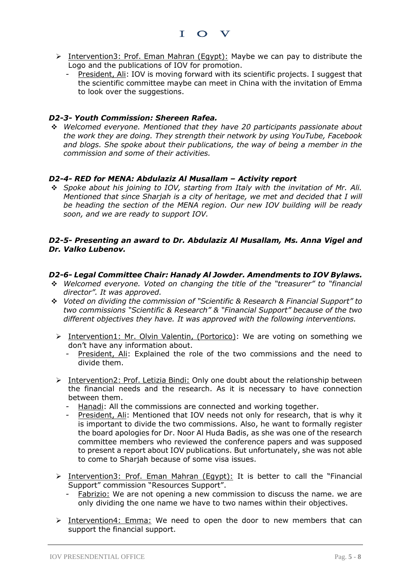

- ➢ Intervention3: Prof. Eman Mahran (Egypt): Maybe we can pay to distribute the Logo and the publications of IOV for promotion.
	- *-* President, Ali: IOV is moving forward with its scientific projects. I suggest that the scientific committee maybe can meet in China with the invitation of Emma to look over the suggestions.

### *D2-3- Youth Commission: Shereen Rafea.*

❖ *Welcomed everyone. Mentioned that they have 20 participants passionate about the work they are doing. They strength their network by using YouTube, Facebook and blogs. She spoke about their publications, the way of being a member in the commission and some of their activities.* 

### *D2-4- RED for MENA: Abdulaziz Al Musallam – Activity report*

❖ *Spoke about his joining to IOV, starting from Italy with the invitation of Mr. Ali. Mentioned that since Sharjah is a city of heritage, we met and decided that I will be heading the section of the MENA region. Our new IOV building will be ready soon, and we are ready to support IOV.* 

### *D2-5- Presenting an award to Dr. Abdulaziz Al Musallam, Ms. Anna Vigel and Dr. Valko Lubenov.*

### *D2-6- Legal Committee Chair: Hanady Al Jowder. Amendments to IOV Bylaws.*

- ❖ *Welcomed everyone. Voted on changing the title of the "treasurer" to "financial director". It was approved.*
- ❖ *Voted on dividing the commission of "Scientific & Research & Financial Support" to two commissions "Scientific & Research" & "Financial Support" because of the two different objectives they have. It was approved with the following interventions.* 
	- > Intervention1: Mr. Olvin Valentin, (Portorico): We are voting on something we don't have any information about.
		- *-* President, Ali: Explained the role of the two commissions and the need to divide them.
	- ➢ Intervention2: Prof. Letizia Bindi: Only one doubt about the relationship between the financial needs and the research. As it is necessary to have connection between them.
		- *-* Hanadi: All the commissions are connected and working together.
		- President, Ali: Mentioned that IOV needs not only for research, that is why it is important to divide the two commissions. Also, he want to formally register the board apologies for Dr. Noor Al Huda Badis, as she was one of the research committee members who reviewed the conference papers and was supposed to present a report about IOV publications. But unfortunately, she was not able to come to Sharjah because of some visa issues.
	- ➢ Intervention3: Prof. Eman Mahran (Egypt): It is better to call the "Financial Support" commission "Resources Support".
		- *-* Fabrizio: We are not opening a new commission to discuss the name. we are only dividing the one name we have to two names within their objectives.
	- $\triangleright$  Intervention4: Emma: We need to open the door to new members that can support the financial support.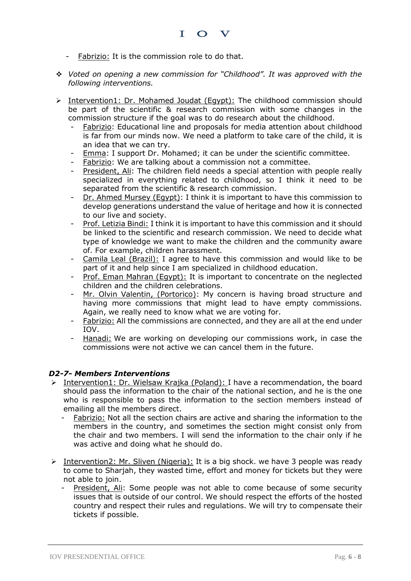- *-* Fabrizio: It is the commission role to do that.
- ❖ *Voted on opening a new commission for "Childhood". It was approved with the following interventions.*
- ➢ Intervention1: Dr. Mohamed Joudat (Egypt): The childhood commission should be part of the scientific & research commission with some changes in the commission structure if the goal was to do research about the childhood.
	- *-* Fabrizio: Educational line and proposals for media attention about childhood is far from our minds now. We need a platform to take care of the child, it is an idea that we can try.
	- *-* Emma: I support Dr. Mohamed; it can be under the scientific committee.
	- *-* Fabrizio: We are talking about a commission not a committee.
	- *-* President, Ali: The children field needs a special attention with people really specialized in everything related to childhood, so I think it need to be separated from the scientific & research commission.
	- *-* Dr. Ahmed Mursey (Egypt): I think it is important to have this commission to develop generations understand the value of heritage and how it is connected to our live and society.
	- Prof. Letizia Bindi: I think it is important to have this commission and it should be linked to the scientific and research commission. We need to decide what type of knowledge we want to make the children and the community aware of. For example, children harassment.
	- *-* Camila Leal (Brazil): I agree to have this commission and would like to be part of it and help since I am specialized in childhood education.
	- *-* Prof. Eman Mahran (Egypt): It is important to concentrate on the neglected children and the children celebrations.
	- *Mr. Olvin Valentin, (Portorico): My concern is having broad structure and* having more commissions that might lead to have empty commissions. Again, we really need to know what we are voting for.
	- *-* Fabrizio: All the commissions are connected, and they are all at the end under IOV.
	- *-* Hanadi: We are working on developing our commissions work, in case the commissions were not active we can cancel them in the future.

## *D2-7- Members Interventions*

- ➢ Intervention1: Dr. Wielsaw Krajka (Poland): I have a recommendation, the board should pass the information to the chair of the national section, and he is the one who is responsible to pass the information to the section members instead of emailing all the members direct.
	- *-* Fabrizio: Not all the section chairs are active and sharing the information to the members in the country, and sometimes the section might consist only from the chair and two members. I will send the information to the chair only if he was active and doing what he should do.
- ➢ Intervention2: Mr. Sliven (Nigeria): It is a big shock. we have 3 people was ready to come to Sharjah, they wasted time, effort and money for tickets but they were not able to join.
	- *-* President, Ali: Some people was not able to come because of some security issues that is outside of our control. We should respect the efforts of the hosted country and respect their rules and regulations. We will try to compensate their tickets if possible.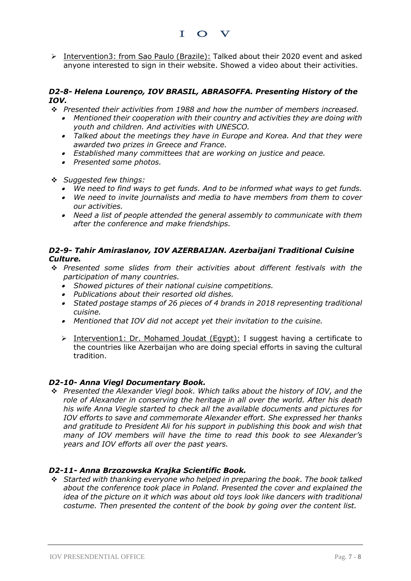➢ Intervention3: from Sao Paulo (Brazile): Talked about their 2020 event and asked anyone interested to sign in their website. Showed a video about their activities.

### *D2-8- Helena Lourenço, IOV BRASIL, ABRASOFFA. Presenting History of the IOV.*

- ❖ *Presented their activities from 1988 and how the number of members increased.* 
	- *Mentioned their cooperation with their country and activities they are doing with youth and children. And activities with UNESCO.*
	- *Talked about the meetings they have in Europe and Korea. And that they were awarded two prizes in Greece and France.*
	- *Established many committees that are working on justice and peace.*
	- *Presented some photos.*
- ❖ *Suggested few things:*
	- *We need to find ways to get funds. And to be informed what ways to get funds.*
	- *We need to invite journalists and media to have members from them to cover our activities.*
	- *Need a list of people attended the general assembly to communicate with them after the conference and make friendships.*

### *D2-9- Tahir Amiraslanov, IOV AZERBAIJAN. Azerbaijani Traditional Cuisine Culture.*

- ❖ *Presented some slides from their activities about different festivals with the participation of many countries.*
	- *Showed pictures of their national cuisine competitions.*
	- *Publications about their resorted old dishes.*
	- *Stated postage stamps of 26 pieces of 4 brands in 2018 representing traditional cuisine.*
	- *Mentioned that IOV did not accept yet their invitation to the cuisine.*
	- $\triangleright$  Intervention1: Dr. Mohamed Joudat (Egypt): I suggest having a certificate to the countries like Azerbaijan who are doing special efforts in saving the cultural tradition.

### *D2-10- Anna Viegl Documentary Book.*

❖ *Presented the Alexander Viegl book. Which talks about the history of IOV, and the role of Alexander in conserving the heritage in all over the world. After his death his wife Anna Viegle started to check all the available documents and pictures for IOV efforts to save and commemorate Alexander effort. She expressed her thanks and gratitude to President Ali for his support in publishing this book and wish that many of IOV members will have the time to read this book to see Alexander's years and IOV efforts all over the past years.* 

### *D2-11- Anna Brzozowska Krajka Scientific Book.*

❖ *Started with thanking everyone who helped in preparing the book. The book talked about the conference took place in Poland. Presented the cover and explained the idea of the picture on it which was about old toys look like dancers with traditional costume. Then presented the content of the book by going over the content list.*